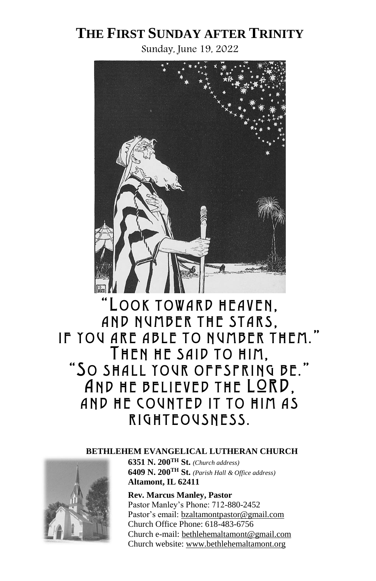# **THE FIRST SUNDAY AFTER TRINITY**

Sunday, June 19, 2022



"LOOK TOWARD HEAVEN, AND NUMBER THE STARS. IF YOU ARE ABLE TO NUMBER THEM." THEN HE SAID TO HIM, "SO SHALL YOUR OFFSPRING BE." AND HE BELIEVED THE LORD, AND HE COUNTED IT TO HIM AS RIGHTEOUSNESS.

#### **BETHLEHEM EVANGELICAL LUTHERAN CHURCH**



**6351 N. 200TH St.** *(Church address)* **6409 N. 200TH St.** *(Parish Hall & Office address)* **Altamont, IL 62411**

**Rev. Marcus Manley, Pastor** Pastor Manley's Phone: 712-880-2452 Pastor's email: [bzaltamontpastor@gmail.com](mailto:bzaltamontpastor@gmail.com) Church Office Phone: 618-483-6756 Church e-mail[: bethlehemaltamont@gmail.com](mailto:bethlehemaltamont@gmail.com) Church website: [www.bethlehemaltamont.org](http://www.bethlehemaltamont.org/)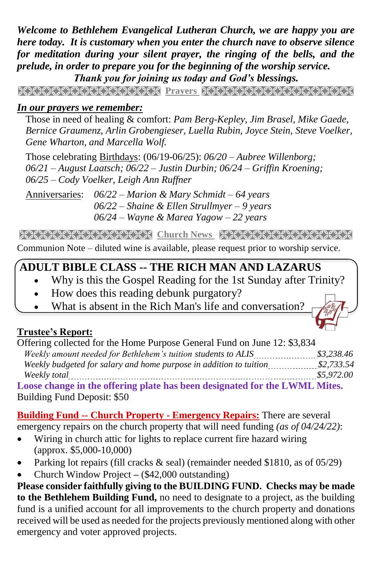*Welcome to Bethlehem Evangelical Lutheran Church, we are happy you are here today. It is customary when you enter the church nave to observe silence for meditation during your silent prayer, the ringing of the bells, and the prelude, in order to prepare you for the beginning of the worship service. Thank you for joining us today and God's blessings.*

**Prayers** 

#### *In our prayers we remember:*

 Those in need of healing & comfort: *Pam Berg-Kepley, Jim Brasel, Mike Gaede, Bernice Graumenz, Arlin Grobengieser, Luella Rubin, Joyce Stein, Steve Voelker, Gene Wharton, and Marcella Wolf.*

Those celebrating Birthdays: (06/19-06/25): *06/20 – Aubree Willenborg; 06/21 – August Laatsch; 06/22 – Justin Durbin; 06/24 – Griffin Kroening; 06/25 – Cody Voelker, Leigh Ann Ruffner*

Anniversaries: *06/22 – Marion & Mary Schmidt – 64 years 06/22 – Shaine & Ellen Strullmyer – 9 years 06/24 – Wayne & Marea Yagow – 22 years*

**Church News RECESSION CONTRACT CONTRACT CONTRACT AND RELATED AT A LIGHT OF A LIGHT OF A LIGHT OF A LIGHT OF A** 

Communion Note – diluted wine is available, please request prior to worship service.

# **ADULT BIBLE CLASS -- THE RICH MAN AND LAZARUS**

- Why is this the Gospel Reading for the 1st Sunday after Trinity?
- How does this reading debunk purgatory?
- What is absent in the Rich Man's life and conversation?

# **Trustee's Report:**

| Offering collected for the Home Purpose General Fund on June 12: \$3,834           |            |  |
|------------------------------------------------------------------------------------|------------|--|
|                                                                                    | \$3.238.46 |  |
| Weekly budgeted for salary and home purpose in addition to tuition <i>manuming</i> | \$2,733.54 |  |
| Weekly total                                                                       | \$5,972.00 |  |
| Loose change in the offering plate has been designated for the LWML Mites.         |            |  |
| Building Fund Deposit: \$50                                                        |            |  |

**Building Fund -- Church Property - Emergency Repairs:** There are several emergency repairs on the church property that will need funding *(as of 04/24/22)*:

- Wiring in church attic for lights to replace current fire hazard wiring (approx. \$5,000-10,000)
- Parking lot repairs (fill cracks  $\&$  seal) (remainder needed \$1810, as of 05/29)
- Church Window Project **–** (\$42,000 outstanding)

**Please consider faithfully giving to the BUILDING FUND. Checks may be made to the Bethlehem Building Fund,** no need to designate to a project, as the building fund is a unified account for all improvements to the church property and donations received will be used as needed for the projects previously mentioned along with other emergency and voter approved projects.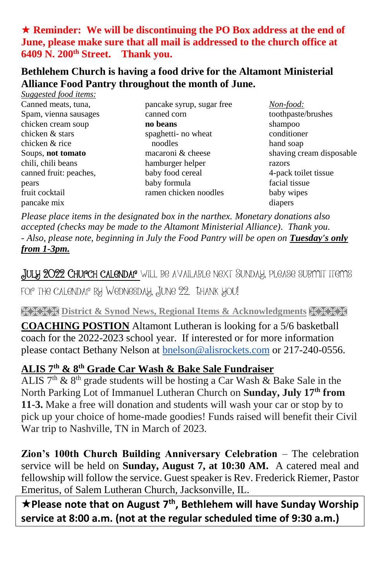# **Reminder: We will be discontinuing the PO Box address at the end of June, please make sure that all mail is addressed to the church office at 6409 N. 200th Street. Thank you.**

#### **Bethlehem Church is having a food drive for the Altamont Ministerial Alliance Food Pantry throughout the month of June.** *Suggested food items:*

| <i>Suggested Tood Hems.</i> |                           |                          |
|-----------------------------|---------------------------|--------------------------|
| Canned meats, tuna,         | pancake syrup, sugar free | Non-food:                |
| Spam, vienna sausages       | canned corn               | toothpaste/brushes       |
| chicken cream soup          | no beans                  | shampoo                  |
| chicken & stars             | spaghetti- no wheat       | conditioner              |
| chicken & rice              | noodles                   | hand soap                |
| Soups, not tomato           | macaroni & cheese         | shaving cream disposable |
| chili, chili beans          | hamburger helper          | razors                   |
| canned fruit: peaches,      | baby food cereal          | 4-pack toilet tissue     |
| pears                       | baby formula              | facial tissue            |
| fruit cocktail              | ramen chicken noodles     | baby wipes               |
| pancake mix                 |                           | diapers                  |
|                             |                           |                          |

*Please place items in the designated box in the narthex. Monetary donations also accepted (checks may be made to the Altamont Ministerial Alliance). Thank you. - Also, please note, beginning in July the Food Pantry will be open on Tuesday's only from 1-3pm.*

July 2022 Church calendar will be available next Sunday, please submit items

for the calendar by Wednesday, June 22. Thank you!

**RICKS District & Synod News, Regional Items & Acknowledgments XXXX** 

**COACHING POSTION** Altamont Lutheran is looking for a 5/6 basketball coach for the 2022-2023 school year. If interested or for more information please contact Bethany Nelson at [bnelson@alisrockets.com](mailto:bnelson@alisrockets.com) or 217-240-0556.

# **ALIS 7th & 8th Grade Car Wash & Bake Sale Fundraiser**

ALIS  $7<sup>th</sup>$  &  $8<sup>th</sup>$  grade students will be hosting a Car Wash & Bake Sale in the North Parking Lot of Immanuel Lutheran Church on **Sunday, July 17th from 11-3.** Make a free will donation and students will wash your car or stop by to pick up your choice of home-made goodies! Funds raised will benefit their Civil War trip to Nashville, TN in March of 2023.

**Zion's 100th Church Building Anniversary Celebration** – The celebration service will be held on **Sunday, August 7, at 10:30 AM.** A catered meal and fellowship will follow the service. Guest speaker is Rev. Frederick Riemer, Pastor Emeritus, of Salem Lutheran Church, Jacksonville, IL.

**★Please note that on August 7<sup>th</sup>, Bethlehem will have Sunday Worship service at 8:00 a.m. (not at the regular scheduled time of 9:30 a.m.)**